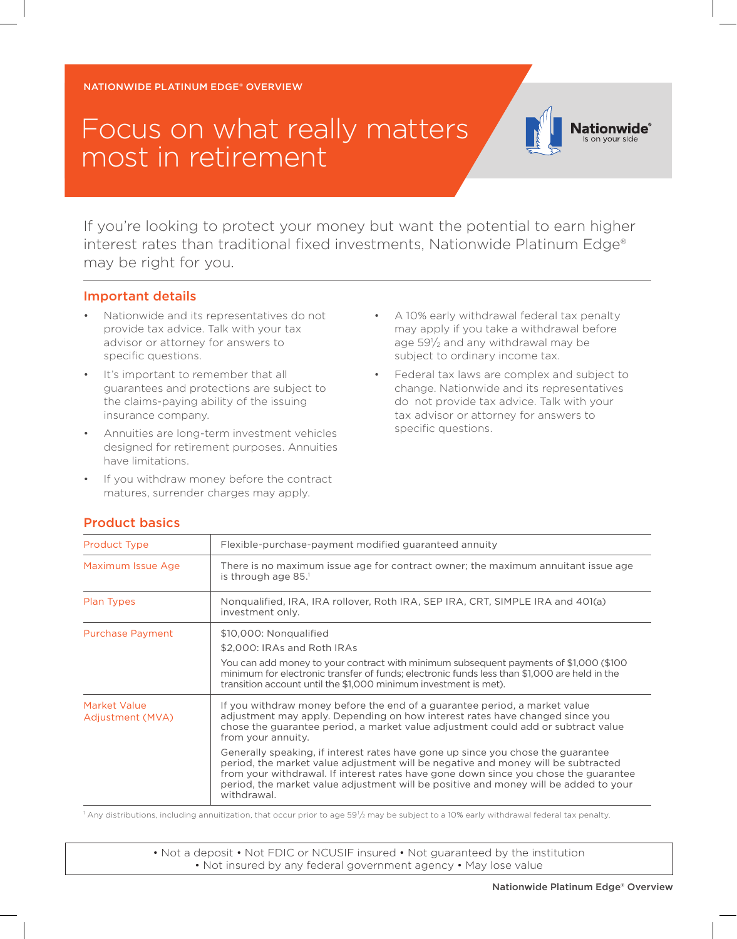NATIONWIDE PLATINUM EDGE® OVERVIEW

## Focus on what really matters most in retirement

If you're looking to protect your money but want the potential to earn higher interest rates than traditional fixed investments, Nationwide Platinum Edge® may be right for you.

## Important details

- Nationwide and its representatives do not provide tax advice. Talk with your tax advisor or attorney for answers to specific questions.
- It's important to remember that all guarantees and protections are subject to the claims-paying ability of the issuing insurance company.
- Annuities are long-term investment vehicles designed for retirement purposes. Annuities have limitations.
- If you withdraw money before the contract matures, surrender charges may apply.

• A 10% early withdrawal federal tax penalty may apply if you take a withdrawal before age 591 /2 and any withdrawal may be subject to ordinary income tax.

**Nationwide**® on vour side

• Federal tax laws are complex and subject to change. Nationwide and its representatives do not provide tax advice. Talk with your tax advisor or attorney for answers to specific questions.

| <b>Product Type</b>              | Flexible-purchase-payment modified guaranteed annuity                                                                                                                                                                                                                                                                                                                |  |  |  |  |  |
|----------------------------------|----------------------------------------------------------------------------------------------------------------------------------------------------------------------------------------------------------------------------------------------------------------------------------------------------------------------------------------------------------------------|--|--|--|--|--|
| Maximum Issue Age                | There is no maximum issue age for contract owner; the maximum annuitant issue age<br>is through age $85.1$                                                                                                                                                                                                                                                           |  |  |  |  |  |
| Plan Types                       | Nongualified, IRA, IRA rollover, Roth IRA, SEP IRA, CRT, SIMPLE IRA and 401(a)<br>investment only.                                                                                                                                                                                                                                                                   |  |  |  |  |  |
| <b>Purchase Payment</b>          | \$10,000: Nongualified                                                                                                                                                                                                                                                                                                                                               |  |  |  |  |  |
|                                  | \$2,000: IRAs and Roth IRAs                                                                                                                                                                                                                                                                                                                                          |  |  |  |  |  |
|                                  | You can add money to your contract with minimum subsequent payments of \$1,000 (\$100<br>minimum for electronic transfer of funds; electronic funds less than \$1,000 are held in the<br>transition account until the \$1,000 minimum investment is met).                                                                                                            |  |  |  |  |  |
| Market Value<br>Adjustment (MVA) | If you withdraw money before the end of a guarantee period, a market value<br>adjustment may apply. Depending on how interest rates have changed since you<br>chose the quarantee period, a market value adjustment could add or subtract value<br>from your annuity.                                                                                                |  |  |  |  |  |
|                                  | Generally speaking, if interest rates have gone up since you chose the guarantee<br>period, the market value adjustment will be negative and money will be subtracted<br>from your withdrawal. If interest rates have gone down since you chose the guarantee<br>period, the market value adjustment will be positive and money will be added to your<br>withdrawal. |  |  |  |  |  |

## Product basics

 $^1$  Any distributions, including annuitization, that occur prior to age 59½ may be subject to a 10% early withdrawal federal tax penalty.

• Not a deposit • Not FDIC or NCUSIF insured • Not guaranteed by the institution • Not insured by any federal government agency • May lose value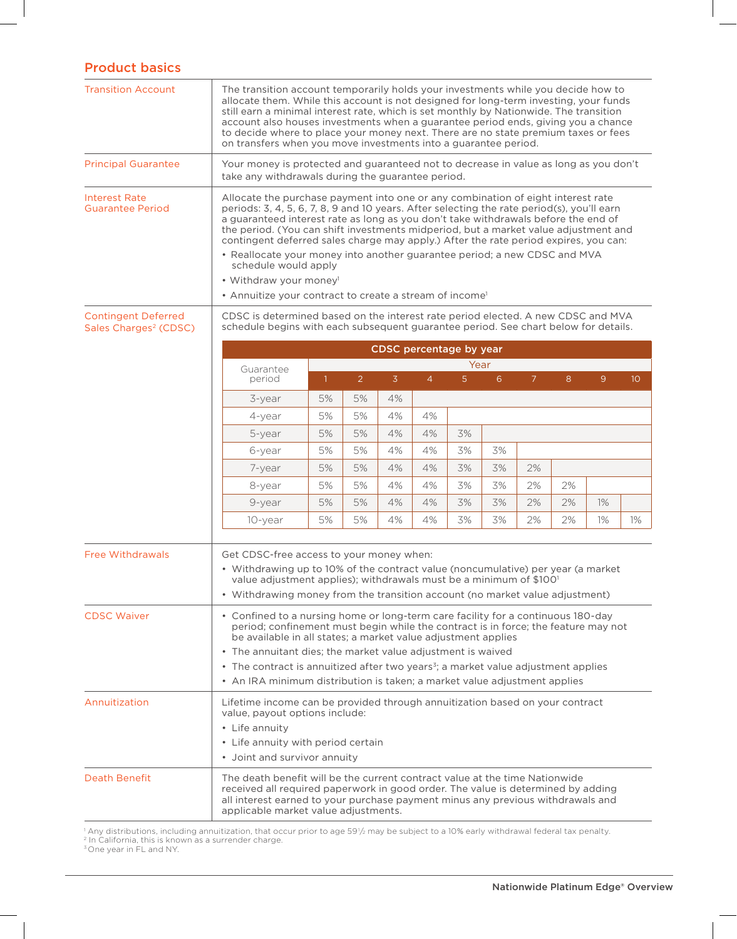## Product basics

| <b>Transition Account</b>                                       | The transition account temporarily holds your investments while you decide how to<br>allocate them. While this account is not designed for long-term investing, your funds<br>still earn a minimal interest rate, which is set monthly by Nationwide. The transition<br>account also houses investments when a guarantee period ends, giving you a chance<br>to decide where to place your money next. There are no state premium taxes or fees<br>on transfers when you move investments into a guarantee period.                                                                                                                                                    |                         |                |                |                |                |    |                |    |                |                 |  |
|-----------------------------------------------------------------|-----------------------------------------------------------------------------------------------------------------------------------------------------------------------------------------------------------------------------------------------------------------------------------------------------------------------------------------------------------------------------------------------------------------------------------------------------------------------------------------------------------------------------------------------------------------------------------------------------------------------------------------------------------------------|-------------------------|----------------|----------------|----------------|----------------|----|----------------|----|----------------|-----------------|--|
| <b>Principal Guarantee</b>                                      | Your money is protected and guaranteed not to decrease in value as long as you don't<br>take any withdrawals during the guarantee period.                                                                                                                                                                                                                                                                                                                                                                                                                                                                                                                             |                         |                |                |                |                |    |                |    |                |                 |  |
| <b>Interest Rate</b><br><b>Guarantee Period</b>                 | Allocate the purchase payment into one or any combination of eight interest rate<br>periods: 3, 4, 5, 6, 7, 8, 9 and 10 years. After selecting the rate period(s), you'll earn<br>a guaranteed interest rate as long as you don't take withdrawals before the end of<br>the period. (You can shift investments midperiod, but a market value adjustment and<br>contingent deferred sales charge may apply.) After the rate period expires, you can:<br>• Reallocate your money into another guarantee period; a new CDSC and MVA<br>schedule would apply<br>• Withdraw your money <sup>1</sup><br>• Annuitize your contract to create a stream of income <sup>1</sup> |                         |                |                |                |                |    |                |    |                |                 |  |
| <b>Contingent Deferred</b><br>Sales Charges <sup>2</sup> (CDSC) | CDSC is determined based on the interest rate period elected. A new CDSC and MVA<br>schedule begins with each subsequent guarantee period. See chart below for details.                                                                                                                                                                                                                                                                                                                                                                                                                                                                                               |                         |                |                |                |                |    |                |    |                |                 |  |
|                                                                 |                                                                                                                                                                                                                                                                                                                                                                                                                                                                                                                                                                                                                                                                       | CDSC percentage by year |                |                |                |                |    |                |    |                |                 |  |
|                                                                 | Guarantee                                                                                                                                                                                                                                                                                                                                                                                                                                                                                                                                                                                                                                                             |                         |                |                |                | Year           |    |                |    |                |                 |  |
|                                                                 | period                                                                                                                                                                                                                                                                                                                                                                                                                                                                                                                                                                                                                                                                | $\mathbf{1}$            | $\overline{2}$ | $\overline{3}$ | $\overline{4}$ | 5 <sup>1</sup> | 6  | $\overline{7}$ | 8  | 9 <sup>°</sup> | 10 <sup>°</sup> |  |
|                                                                 | 3-year                                                                                                                                                                                                                                                                                                                                                                                                                                                                                                                                                                                                                                                                | 5%                      | 5%             | 4%             |                |                |    |                |    |                |                 |  |
|                                                                 | 4-year                                                                                                                                                                                                                                                                                                                                                                                                                                                                                                                                                                                                                                                                | 5%                      | 5%             | 4%             | 4%             |                |    |                |    |                |                 |  |
|                                                                 | 5-year                                                                                                                                                                                                                                                                                                                                                                                                                                                                                                                                                                                                                                                                | 5%                      | 5%             | 4%             | 4%             | 3%             |    |                |    |                |                 |  |
|                                                                 | 6-year                                                                                                                                                                                                                                                                                                                                                                                                                                                                                                                                                                                                                                                                | 5%                      | 5%             | 4%             | 4%             | 3%             | 3% |                |    |                |                 |  |
|                                                                 | 7-year                                                                                                                                                                                                                                                                                                                                                                                                                                                                                                                                                                                                                                                                | 5%                      | 5%             | 4%             | 4%             | 3%             | 3% | 2%             |    |                |                 |  |
|                                                                 | 8-year                                                                                                                                                                                                                                                                                                                                                                                                                                                                                                                                                                                                                                                                | 5%                      | 5%             | 4%             | 4%             | 3%             | 3% | 2%             | 2% |                |                 |  |
|                                                                 | 9-year                                                                                                                                                                                                                                                                                                                                                                                                                                                                                                                                                                                                                                                                | 5%                      | 5%             | 4%             | 4%             | 3%             | 3% | 2%             | 2% | $1\%$          |                 |  |
|                                                                 | 10-year                                                                                                                                                                                                                                                                                                                                                                                                                                                                                                                                                                                                                                                               | 5%                      | 5%             | 4%             | 4%             | 3%             | 3% | 2%             | 2% | $1\%$          | $1\%$           |  |
| <b>Free Withdrawals</b>                                         | Get CDSC-free access to your money when:<br>• Withdrawing up to 10% of the contract value (noncumulative) per year (a market<br>value adjustment applies); withdrawals must be a minimum of \$100 <sup>1</sup><br>• Withdrawing money from the transition account (no market value adjustment)                                                                                                                                                                                                                                                                                                                                                                        |                         |                |                |                |                |    |                |    |                |                 |  |
| <b>CDSC Waiver</b>                                              | • Confined to a nursing home or long-term care facility for a continuous 180-day<br>period; confinement must begin while the contract is in force; the feature may not<br>be available in all states; a market value adjustment applies                                                                                                                                                                                                                                                                                                                                                                                                                               |                         |                |                |                |                |    |                |    |                |                 |  |
|                                                                 | • The annuitant dies; the market value adjustment is waived                                                                                                                                                                                                                                                                                                                                                                                                                                                                                                                                                                                                           |                         |                |                |                |                |    |                |    |                |                 |  |
|                                                                 | • The contract is annuitized after two years <sup>3</sup> ; a market value adjustment applies                                                                                                                                                                                                                                                                                                                                                                                                                                                                                                                                                                         |                         |                |                |                |                |    |                |    |                |                 |  |
|                                                                 | • An IRA minimum distribution is taken; a market value adjustment applies                                                                                                                                                                                                                                                                                                                                                                                                                                                                                                                                                                                             |                         |                |                |                |                |    |                |    |                |                 |  |
| Annuitization                                                   | Lifetime income can be provided through annuitization based on your contract<br>value, payout options include:<br>• Life annuity<br>• Life annuity with period certain                                                                                                                                                                                                                                                                                                                                                                                                                                                                                                |                         |                |                |                |                |    |                |    |                |                 |  |
| <b>Death Benefit</b>                                            | • Joint and survivor annuity<br>The death benefit will be the current contract value at the time Nationwide<br>received all required paperwork in good order. The value is determined by adding<br>all interest earned to your purchase payment minus any previous withdrawals and<br>applicable market value adjustments.                                                                                                                                                                                                                                                                                                                                            |                         |                |                |                |                |    |                |    |                |                 |  |

1 Any distributions, including annuitization, that occur prior to age 591 /2 may be subject to a 10% early withdrawal federal tax penalty.

<sup>2</sup> In California, this is known as a surrender charge.

<sup>3</sup> One year in FL and NY.